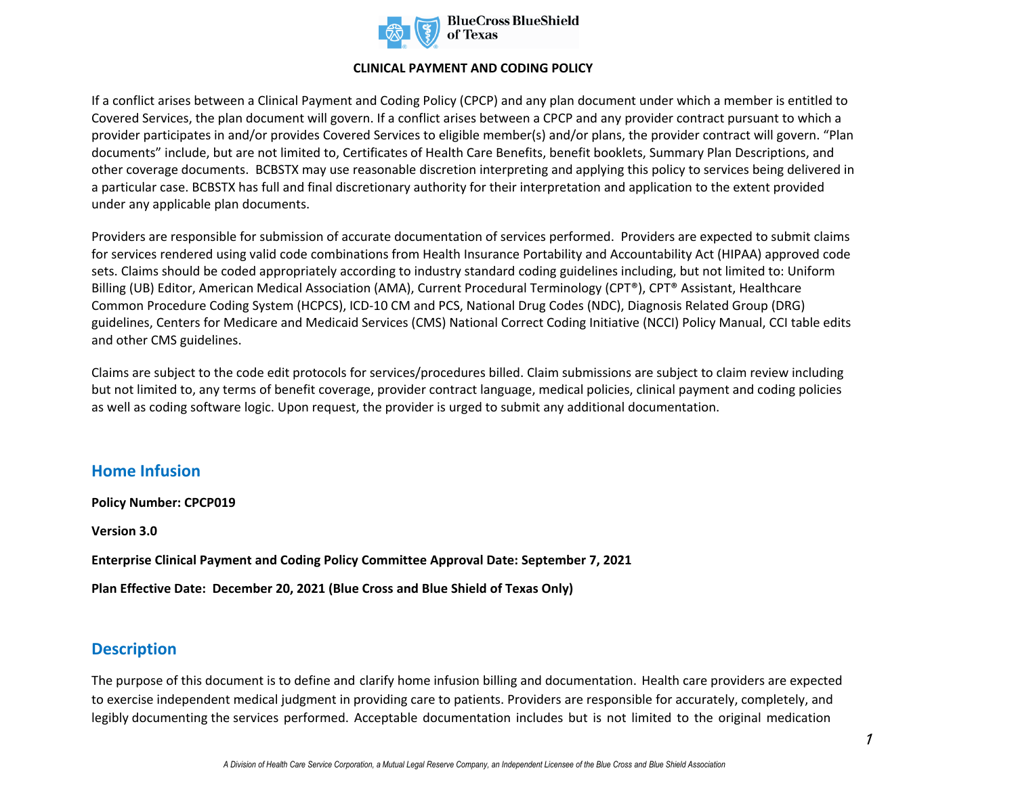

#### **CLINICAL PAYMENT AND CODING POLICY**

If a conflict arises between a Clinical Payment and Coding Policy (CPCP) and any plan document under which a member is entitled to Covered Services, the plan document will govern. If a conflict arises between a CPCP and any provider contract pursuant to which a provider participates in and/or provides Covered Services to eligible member(s) and/or plans, the provider contract will govern. "Plan documents" include, but are not limited to, Certificates of Health Care Benefits, benefit booklets, Summary Plan Descriptions, and other coverage documents. BCBSTX may use reasonable discretion interpreting and applying this policy to services being delivered in a particular case. BCBSTX has full and final discretionary authority for their interpretation and application to the extent provided under any applicable plan documents.

Providers are responsible for submission of accurate documentation of services performed. Providers are expected to submit claims for services rendered using valid code combinations from Health Insurance Portability and Accountability Act (HIPAA) approved code sets. Claims should be coded appropriately according to industry standard coding guidelines including, but not limited to: Uniform Billing (UB) Editor, American Medical Association (AMA), Current Procedural Terminology (CPT®), CPT® Assistant, Healthcare Common Procedure Coding System (HCPCS), ICD-10 CM and PCS, National Drug Codes (NDC), Diagnosis Related Group (DRG) guidelines, Centers for Medicare and Medicaid Services (CMS) National Correct Coding Initiative (NCCI) Policy Manual, CCI table edits and other CMS guidelines.

Claims are subject to the code edit protocols for services/procedures billed. Claim submissions are subject to claim review including but not limited to, any terms of benefit coverage, provider contract language, medical policies, clinical payment and coding policies as well as coding software logic. Upon request, the provider is urged to submit any additional documentation.

## **Home Infusion**

**Policy Number: CPCP019 Version 3.0 Enterprise Clinical Payment and Coding Policy Committee Approval Date: September 7, 2021 Plan Effective Date: December 20, 2021 (Blue Cross and Blue Shield of Texas Only)**

## **Description**

The purpose of this document is to define and clarify home infusion billing and documentation. Health care providers are expected to exercise independent medical judgment in providing care to patients. Providers are responsible for accurately, completely, and legibly documenting the services performed. Acceptable documentation includes but is not limited to the original medication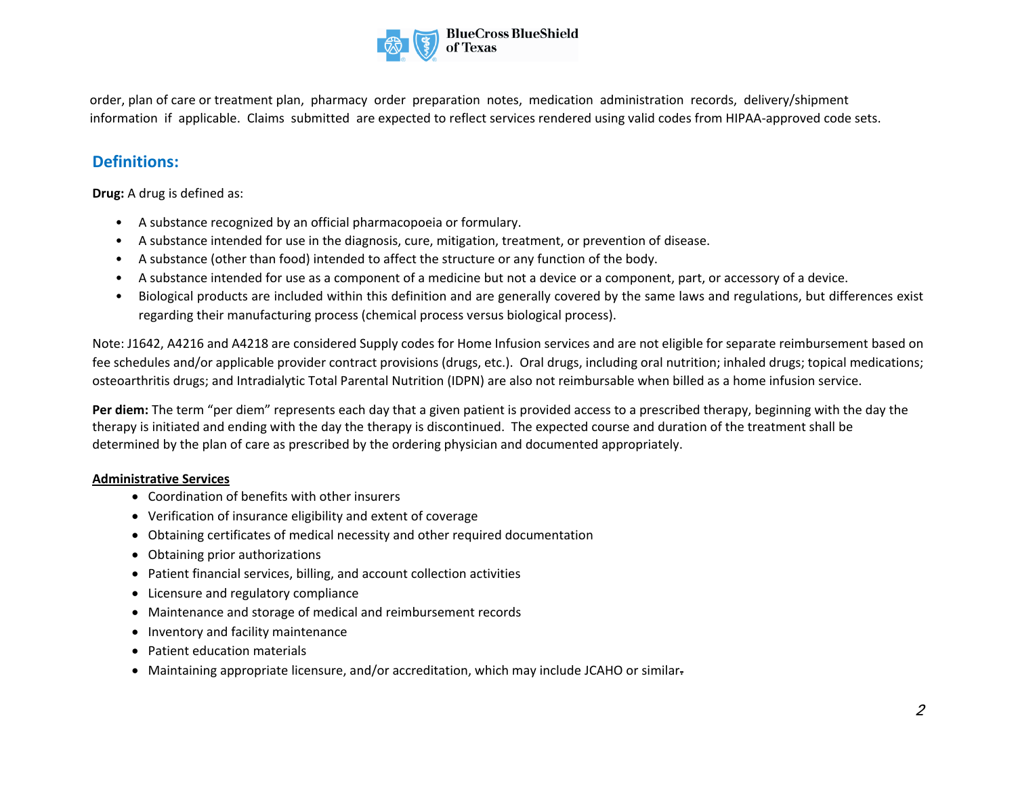

order, plan of care or treatment plan, pharmacy order preparation notes, medication administration records, delivery/shipment information if applicable. Claims submitted are expected to reflect services rendered using valid codes from HIPAA-approved code sets.

## **Definitions:**

**Drug:** A drug is defined as:

- A substance recognized by an official pharmacopoeia or formulary.
- A substance intended for use in the diagnosis, cure, mitigation, treatment, or prevention of disease.
- A substance (other than food) intended to affect the structure or any function of the body.
- A substance intended for use as a component of a medicine but not a device or a component, part, or accessory of a device.
- Biological products are included within this definition and are generally covered by the same laws and regulations, but differences exist regarding their manufacturing process (chemical process versus biological process).

Note: J1642, A4216 and A4218 are considered Supply codes for Home Infusion services and are not eligible for separate reimbursement based on fee schedules and/or applicable provider contract provisions (drugs, etc.). Oral drugs, including oral nutrition; inhaled drugs; topical medications; osteoarthritis drugs; and Intradialytic Total Parental Nutrition (IDPN) are also not reimbursable when billed as a home infusion service.

**Per diem:** The term "per diem" represents each day that a given patient is provided access to a prescribed therapy, beginning with the day the therapy is initiated and ending with the day the therapy is discontinued. The expected course and duration of the treatment shall be determined by the plan of care as prescribed by the ordering physician and documented appropriately.

#### **Administrative Services**

- Coordination of benefits with other insurers
- Verification of insurance eligibility and extent of coverage
- Obtaining certificates of medical necessity and other required documentation
- Obtaining prior authorizations
- Patient financial services, billing, and account collection activities
- Licensure and regulatory compliance
- Maintenance and storage of medical and reimbursement records
- Inventory and facility maintenance
- Patient education materials
- Maintaining appropriate licensure, and/or accreditation, which may include JCAHO or similar-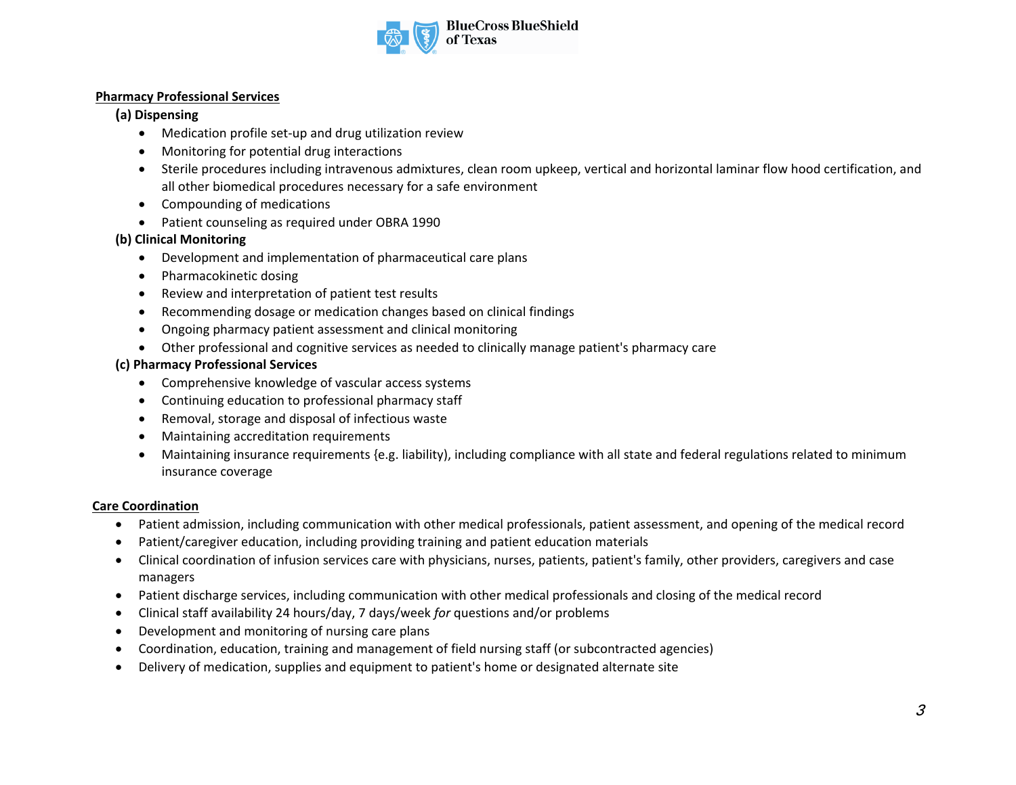

#### **Pharmacy Professional Services**

#### **(a) Dispensing**

- Medication profile set-up and drug utilization review
- Monitoring for potential drug interactions
- Sterile procedures including intravenous admixtures, clean room upkeep, vertical and horizontal laminar flow hood certification, and all other biomedical procedures necessary for a safe environment
- Compounding of medications
- Patient counseling as required under OBRA 1990

#### **(b) Clinical Monitoring**

- Development and implementation of pharmaceutical care plans
- Pharmacokinetic dosing
- Review and interpretation of patient test results
- Recommending dosage or medication changes based on clinical findings
- Ongoing pharmacy patient assessment and clinical monitoring
- Other professional and cognitive services as needed to clinically manage patient's pharmacy care

#### **(c) Pharmacy Professional Services**

- Comprehensive knowledge of vascular access systems
- Continuing education to professional pharmacy staff
- Removal, storage and disposal of infectious waste
- Maintaining accreditation requirements
- Maintaining insurance requirements {e.g. liability), including compliance with all state and federal regulations related to minimum insurance coverage

#### **Care Coordination**

- Patient admission, including communication with other medical professionals, patient assessment, and opening of the medical record
- Patient/caregiver education, including providing training and patient education materials
- Clinical coordination of infusion services care with physicians, nurses, patients, patient's family, other providers, caregivers and case managers
- Patient discharge services, including communication with other medical professionals and closing of the medical record
- Clinical staff availability 24 hours/day, 7 days/week *for* questions and/or problems
- Development and monitoring of nursing care plans
- Coordination, education, training and management of field nursing staff (or subcontracted agencies)
- Delivery of medication, supplies and equipment to patient's home or designated alternate site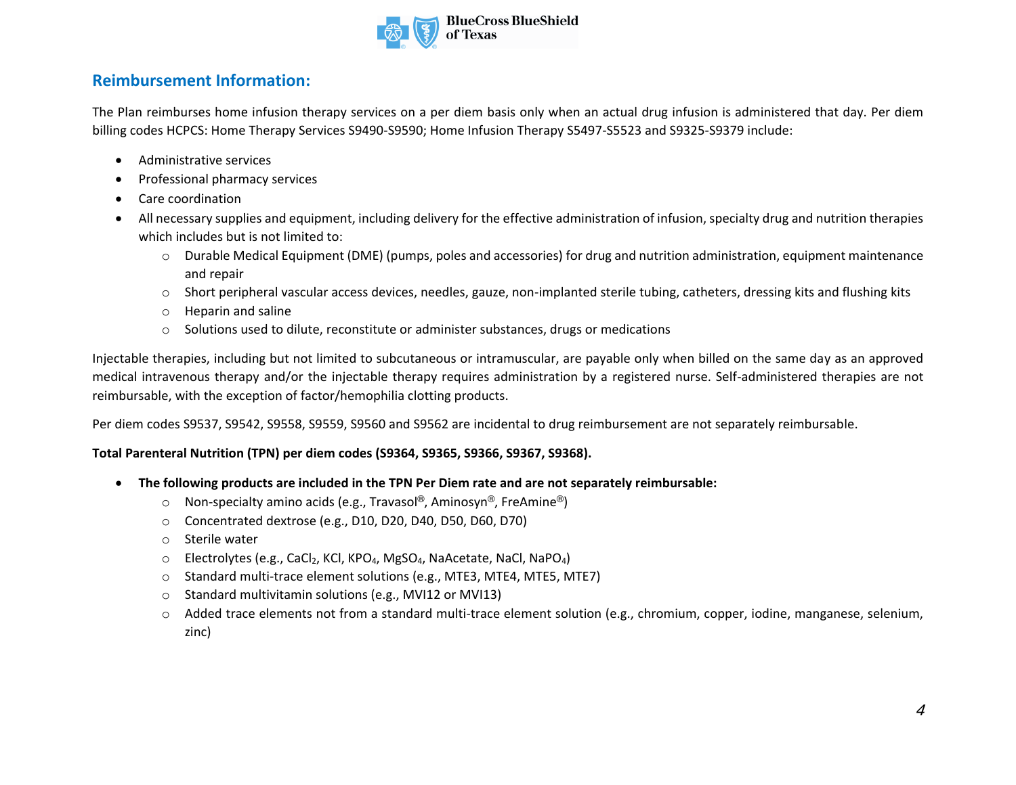

# **Reimbursement Information:**

The Plan reimburses home infusion therapy services on a per diem basis only when an actual drug infusion is administered that day. Per diem billing codes HCPCS: Home Therapy Services S9490-S9590; Home Infusion Therapy S5497-S5523 and S9325-S9379 include:

- Administrative services
- Professional pharmacy services
- Care coordination
- All necessary supplies and equipment, including delivery for the effective administration of infusion, specialty drug and nutrition therapies which includes but is not limited to:
	- o Durable Medical Equipment (DME) (pumps, poles and accessories) for drug and nutrition administration, equipment maintenance and repair
	- $\circ$  Short peripheral vascular access devices, needles, gauze, non-implanted sterile tubing, catheters, dressing kits and flushing kits
	- o Heparin and saline
	- $\circ$  Solutions used to dilute, reconstitute or administer substances, drugs or medications

Injectable therapies, including but not limited to subcutaneous or intramuscular, are payable only when billed on the same day as an approved medical intravenous therapy and/or the injectable therapy requires administration by a registered nurse. Self-administered therapies are not reimbursable, with the exception of factor/hemophilia clotting products.

Per diem codes S9537, S9542, S9558, S9559, S9560 and S9562 are incidental to drug reimbursement are not separately reimbursable.

### **Total Parenteral Nutrition (TPN) per diem codes (S9364, S9365, S9366, S9367, S9368).**

- **The following products are included in the TPN Per Diem rate and are not separately reimbursable:**
	- o Non-specialty amino acids (e.g., Travasol®, Aminosyn®, FreAmine®)
	- o Concentrated dextrose (e.g., D10, D20, D40, D50, D60, D70)
	- o Sterile water
	- o Electrolytes (e.g., CaCl<sub>2</sub>, KCl, KPO<sub>4</sub>, MgSO<sub>4</sub>, NaAcetate, NaCl, NaPO<sub>4</sub>)
	- o Standard multi-trace element solutions (e.g., MTE3, MTE4, MTE5, MTE7)
	- o Standard multivitamin solutions (e.g., MVI12 or MVI13)
	- $\circ$  Added trace elements not from a standard multi-trace element solution (e.g., chromium, copper, iodine, manganese, selenium, zinc)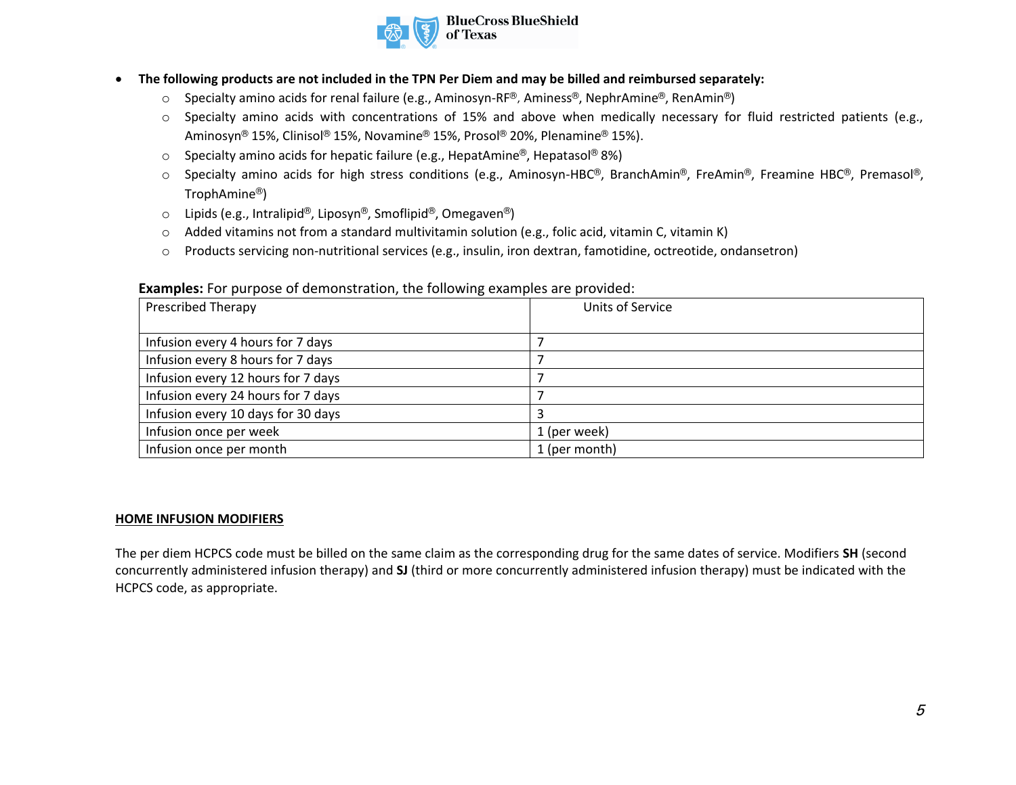

- **The following products are not included in the TPN Per Diem and may be billed and reimbursed separately:**
	- o Specialty amino acids for renal failure (e.g., Aminosyn-RF®, Aminess®, NephrAmine®, RenAmin®)
	- $\circ$  Specialty amino acids with concentrations of 15% and above when medically necessary for fluid restricted patients (e.g., Aminosyn® 15%, Clinisol® 15%, Novamine® 15%, Prosol® 20%, Plenamine® 15%).
	- $\circ$  Specialty amino acids for hepatic failure (e.g., HepatAmine®, Hepatasol® 8%)
	- o Specialty amino acids for high stress conditions (e.g., Aminosyn-HBC®, BranchAmin®, FreAmin®, Freamine HBC®, Premasol®, TrophAmine®)
	- o Lipids (e.g., Intralipid®, Liposyn®, Smoflipid®, Omegaven®)
	- o Added vitamins not from a standard multivitamin solution (e.g., folic acid, vitamin C, vitamin K)
	- o Products servicing non-nutritional services (e.g., insulin, iron dextran, famotidine, octreotide, ondansetron)

#### **Examples:** For purpose of demonstration, the following examples are provided:

| <b>Prescribed Therapy</b>          | Units of Service |
|------------------------------------|------------------|
|                                    |                  |
| Infusion every 4 hours for 7 days  |                  |
| Infusion every 8 hours for 7 days  |                  |
| Infusion every 12 hours for 7 days |                  |
| Infusion every 24 hours for 7 days |                  |
| Infusion every 10 days for 30 days |                  |
| Infusion once per week             | 1 (per week)     |
| Infusion once per month            | 1 (per month)    |

#### **HOME INFUSION MODIFIERS**

The per diem HCPCS code must be billed on the same claim as the corresponding drug for the same dates of service. Modifiers **SH** (second concurrently administered infusion therapy) and **SJ** (third or more concurrently administered infusion therapy) must be indicated with the HCPCS code, as appropriate.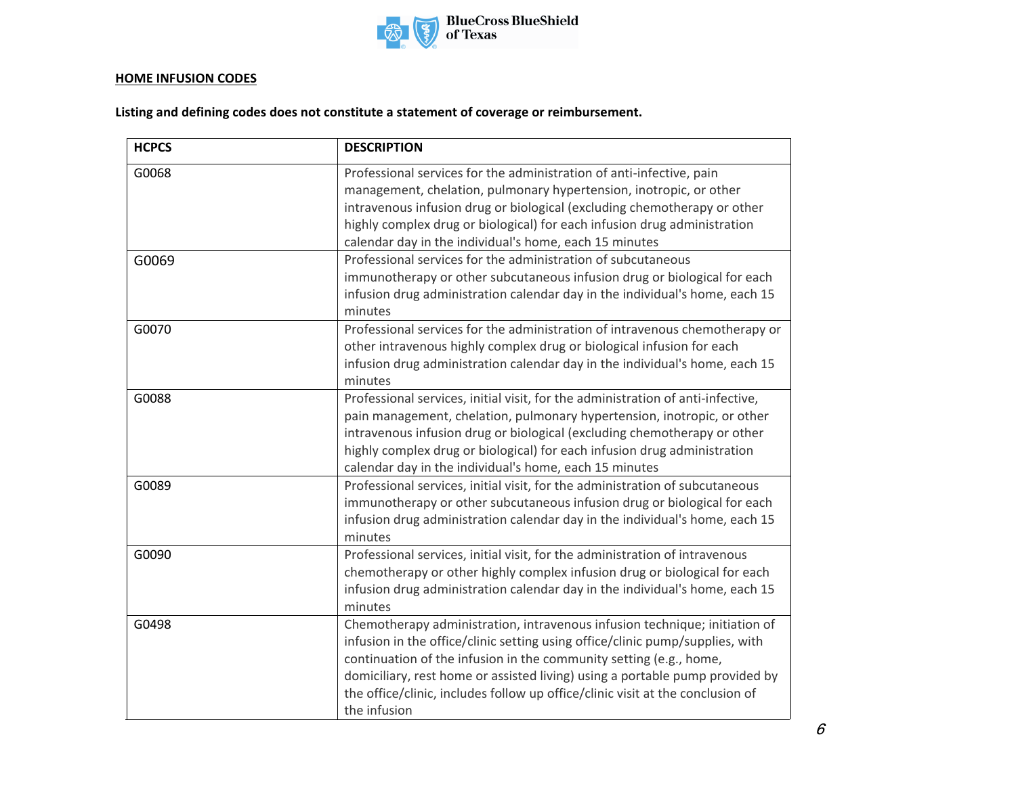

### **HOME INFUSION CODES**

**Listing and defining codes does not constitute a statement of coverage or reimbursement.**

| <b>HCPCS</b> | <b>DESCRIPTION</b>                                                                                                                                                                                                                                                                                                                                                                                                  |
|--------------|---------------------------------------------------------------------------------------------------------------------------------------------------------------------------------------------------------------------------------------------------------------------------------------------------------------------------------------------------------------------------------------------------------------------|
| G0068        | Professional services for the administration of anti-infective, pain<br>management, chelation, pulmonary hypertension, inotropic, or other<br>intravenous infusion drug or biological (excluding chemotherapy or other<br>highly complex drug or biological) for each infusion drug administration<br>calendar day in the individual's home, each 15 minutes                                                        |
| G0069        | Professional services for the administration of subcutaneous<br>immunotherapy or other subcutaneous infusion drug or biological for each<br>infusion drug administration calendar day in the individual's home, each 15<br>minutes                                                                                                                                                                                  |
| G0070        | Professional services for the administration of intravenous chemotherapy or<br>other intravenous highly complex drug or biological infusion for each<br>infusion drug administration calendar day in the individual's home, each 15<br>minutes                                                                                                                                                                      |
| G0088        | Professional services, initial visit, for the administration of anti-infective,<br>pain management, chelation, pulmonary hypertension, inotropic, or other<br>intravenous infusion drug or biological (excluding chemotherapy or other<br>highly complex drug or biological) for each infusion drug administration<br>calendar day in the individual's home, each 15 minutes                                        |
| G0089        | Professional services, initial visit, for the administration of subcutaneous<br>immunotherapy or other subcutaneous infusion drug or biological for each<br>infusion drug administration calendar day in the individual's home, each 15<br>minutes                                                                                                                                                                  |
| G0090        | Professional services, initial visit, for the administration of intravenous<br>chemotherapy or other highly complex infusion drug or biological for each<br>infusion drug administration calendar day in the individual's home, each 15<br>minutes                                                                                                                                                                  |
| G0498        | Chemotherapy administration, intravenous infusion technique; initiation of<br>infusion in the office/clinic setting using office/clinic pump/supplies, with<br>continuation of the infusion in the community setting (e.g., home,<br>domiciliary, rest home or assisted living) using a portable pump provided by<br>the office/clinic, includes follow up office/clinic visit at the conclusion of<br>the infusion |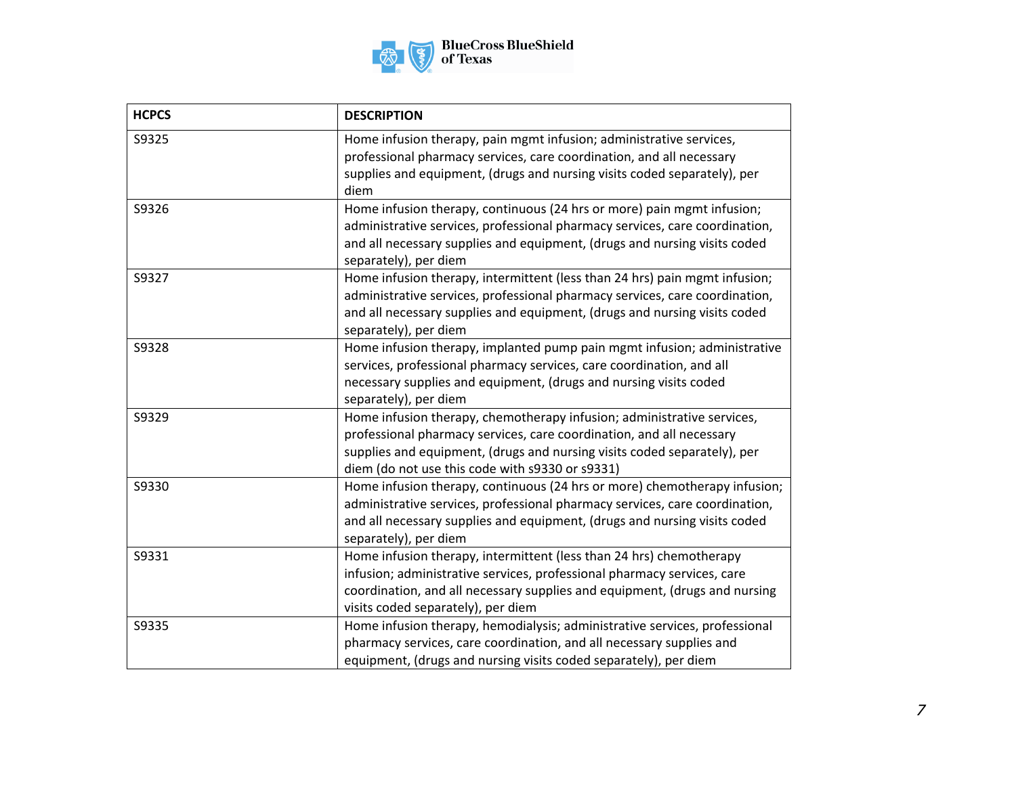

| <b>HCPCS</b> | <b>DESCRIPTION</b>                                                                                                                                                                                                                                                            |
|--------------|-------------------------------------------------------------------------------------------------------------------------------------------------------------------------------------------------------------------------------------------------------------------------------|
| S9325        | Home infusion therapy, pain mgmt infusion; administrative services,<br>professional pharmacy services, care coordination, and all necessary<br>supplies and equipment, (drugs and nursing visits coded separately), per<br>diem                                               |
| S9326        | Home infusion therapy, continuous (24 hrs or more) pain mgmt infusion;<br>administrative services, professional pharmacy services, care coordination,<br>and all necessary supplies and equipment, (drugs and nursing visits coded<br>separately), per diem                   |
| S9327        | Home infusion therapy, intermittent (less than 24 hrs) pain mgmt infusion;<br>administrative services, professional pharmacy services, care coordination,<br>and all necessary supplies and equipment, (drugs and nursing visits coded<br>separately), per diem               |
| S9328        | Home infusion therapy, implanted pump pain mgmt infusion; administrative<br>services, professional pharmacy services, care coordination, and all<br>necessary supplies and equipment, (drugs and nursing visits coded<br>separately), per diem                                |
| S9329        | Home infusion therapy, chemotherapy infusion; administrative services,<br>professional pharmacy services, care coordination, and all necessary<br>supplies and equipment, (drugs and nursing visits coded separately), per<br>diem (do not use this code with s9330 or s9331) |
| S9330        | Home infusion therapy, continuous (24 hrs or more) chemotherapy infusion;<br>administrative services, professional pharmacy services, care coordination,<br>and all necessary supplies and equipment, (drugs and nursing visits coded<br>separately), per diem                |
| S9331        | Home infusion therapy, intermittent (less than 24 hrs) chemotherapy<br>infusion; administrative services, professional pharmacy services, care<br>coordination, and all necessary supplies and equipment, (drugs and nursing<br>visits coded separately), per diem            |
| S9335        | Home infusion therapy, hemodialysis; administrative services, professional<br>pharmacy services, care coordination, and all necessary supplies and<br>equipment, (drugs and nursing visits coded separately), per diem                                                        |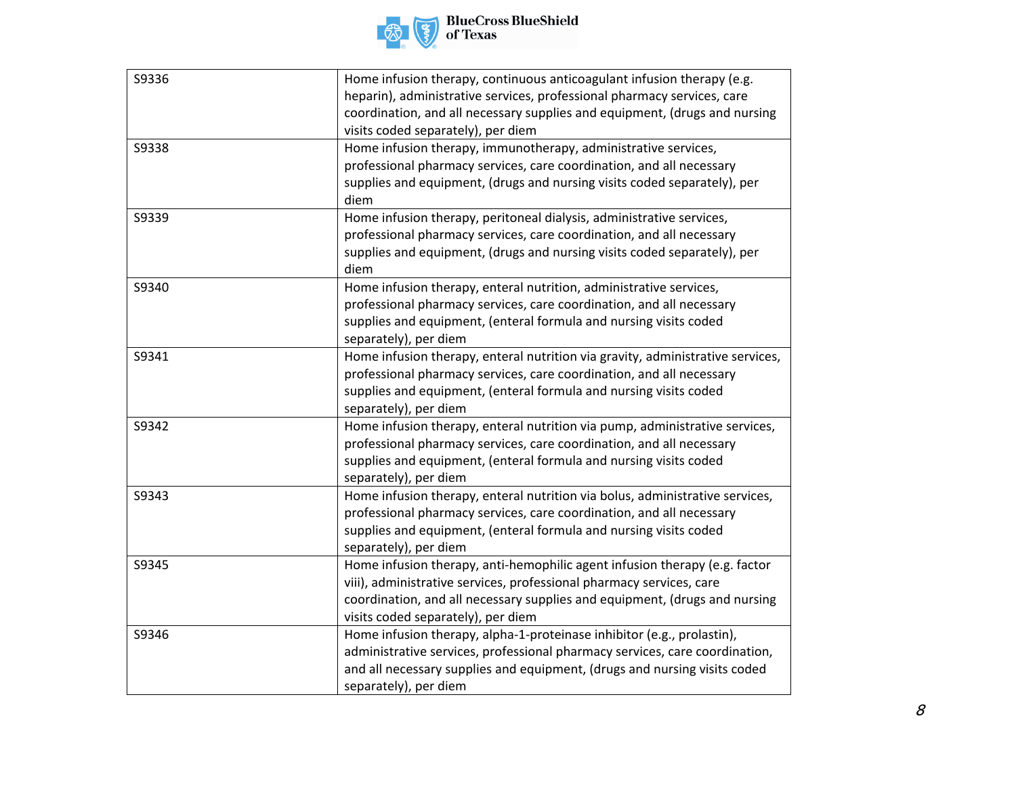

| S9336 | Home infusion therapy, continuous anticoagulant infusion therapy (e.g.         |
|-------|--------------------------------------------------------------------------------|
|       | heparin), administrative services, professional pharmacy services, care        |
|       | coordination, and all necessary supplies and equipment, (drugs and nursing     |
|       | visits coded separately), per diem                                             |
| S9338 | Home infusion therapy, immunotherapy, administrative services,                 |
|       | professional pharmacy services, care coordination, and all necessary           |
|       | supplies and equipment, (drugs and nursing visits coded separately), per       |
|       | diem                                                                           |
| S9339 | Home infusion therapy, peritoneal dialysis, administrative services,           |
|       | professional pharmacy services, care coordination, and all necessary           |
|       | supplies and equipment, (drugs and nursing visits coded separately), per       |
|       | diem                                                                           |
| S9340 | Home infusion therapy, enteral nutrition, administrative services,             |
|       | professional pharmacy services, care coordination, and all necessary           |
|       | supplies and equipment, (enteral formula and nursing visits coded              |
|       | separately), per diem                                                          |
| S9341 | Home infusion therapy, enteral nutrition via gravity, administrative services, |
|       | professional pharmacy services, care coordination, and all necessary           |
|       | supplies and equipment, (enteral formula and nursing visits coded              |
|       | separately), per diem                                                          |
| S9342 | Home infusion therapy, enteral nutrition via pump, administrative services,    |
|       | professional pharmacy services, care coordination, and all necessary           |
|       | supplies and equipment, (enteral formula and nursing visits coded              |
|       | separately), per diem                                                          |
| S9343 | Home infusion therapy, enteral nutrition via bolus, administrative services,   |
|       | professional pharmacy services, care coordination, and all necessary           |
|       | supplies and equipment, (enteral formula and nursing visits coded              |
|       | separately), per diem                                                          |
| S9345 | Home infusion therapy, anti-hemophilic agent infusion therapy (e.g. factor     |
|       | viii), administrative services, professional pharmacy services, care           |
|       | coordination, and all necessary supplies and equipment, (drugs and nursing     |
|       | visits coded separately), per diem                                             |
| S9346 | Home infusion therapy, alpha-1-proteinase inhibitor (e.g., prolastin),         |
|       | administrative services, professional pharmacy services, care coordination,    |
|       | and all necessary supplies and equipment, (drugs and nursing visits coded      |
|       | separately), per diem                                                          |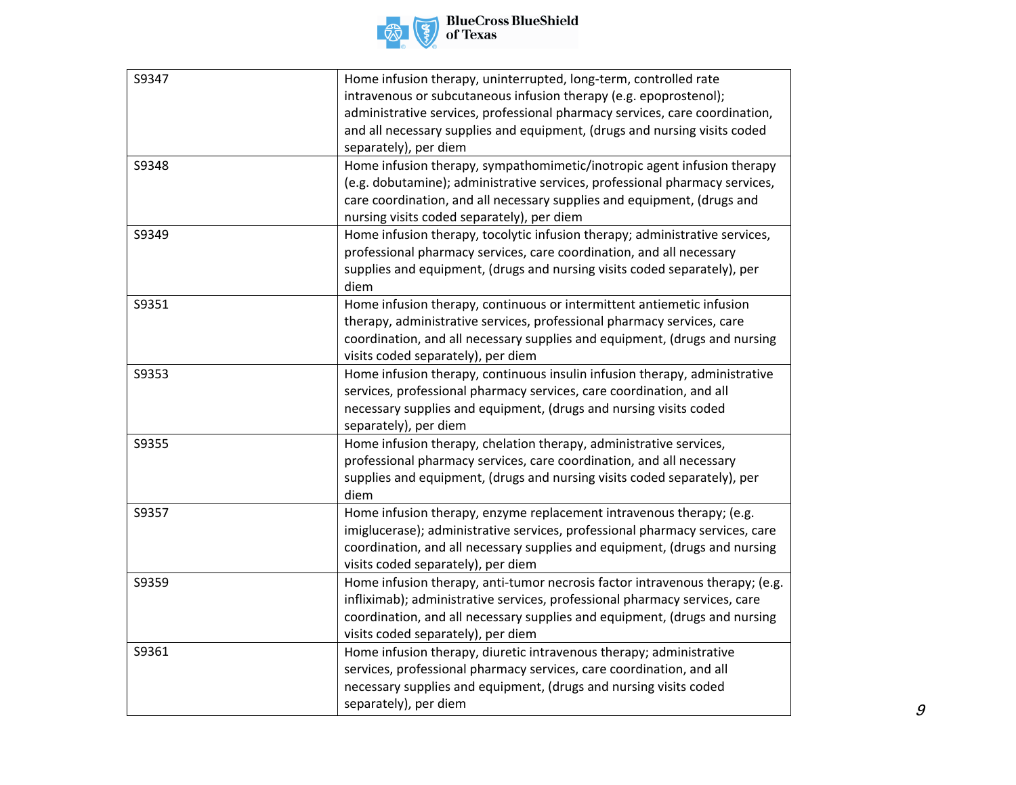

| S9347 | Home infusion therapy, uninterrupted, long-term, controlled rate             |
|-------|------------------------------------------------------------------------------|
|       | intravenous or subcutaneous infusion therapy (e.g. epoprostenol);            |
|       | administrative services, professional pharmacy services, care coordination,  |
|       | and all necessary supplies and equipment, (drugs and nursing visits coded    |
|       | separately), per diem                                                        |
| S9348 | Home infusion therapy, sympathomimetic/inotropic agent infusion therapy      |
|       | (e.g. dobutamine); administrative services, professional pharmacy services,  |
|       | care coordination, and all necessary supplies and equipment, (drugs and      |
|       | nursing visits coded separately), per diem                                   |
| S9349 | Home infusion therapy, tocolytic infusion therapy; administrative services,  |
|       | professional pharmacy services, care coordination, and all necessary         |
|       | supplies and equipment, (drugs and nursing visits coded separately), per     |
|       | diem                                                                         |
| S9351 | Home infusion therapy, continuous or intermittent antiemetic infusion        |
|       | therapy, administrative services, professional pharmacy services, care       |
|       | coordination, and all necessary supplies and equipment, (drugs and nursing   |
|       | visits coded separately), per diem                                           |
| S9353 | Home infusion therapy, continuous insulin infusion therapy, administrative   |
|       | services, professional pharmacy services, care coordination, and all         |
|       | necessary supplies and equipment, (drugs and nursing visits coded            |
|       | separately), per diem                                                        |
| S9355 | Home infusion therapy, chelation therapy, administrative services,           |
|       | professional pharmacy services, care coordination, and all necessary         |
|       | supplies and equipment, (drugs and nursing visits coded separately), per     |
|       | diem                                                                         |
| S9357 | Home infusion therapy, enzyme replacement intravenous therapy; (e.g.         |
|       | imiglucerase); administrative services, professional pharmacy services, care |
|       | coordination, and all necessary supplies and equipment, (drugs and nursing   |
|       | visits coded separately), per diem                                           |
| S9359 | Home infusion therapy, anti-tumor necrosis factor intravenous therapy; (e.g. |
|       | infliximab); administrative services, professional pharmacy services, care   |
|       | coordination, and all necessary supplies and equipment, (drugs and nursing   |
|       | visits coded separately), per diem                                           |
| S9361 | Home infusion therapy, diuretic intravenous therapy; administrative          |
|       | services, professional pharmacy services, care coordination, and all         |
|       | necessary supplies and equipment, (drugs and nursing visits coded            |
|       | separately), per diem                                                        |
|       |                                                                              |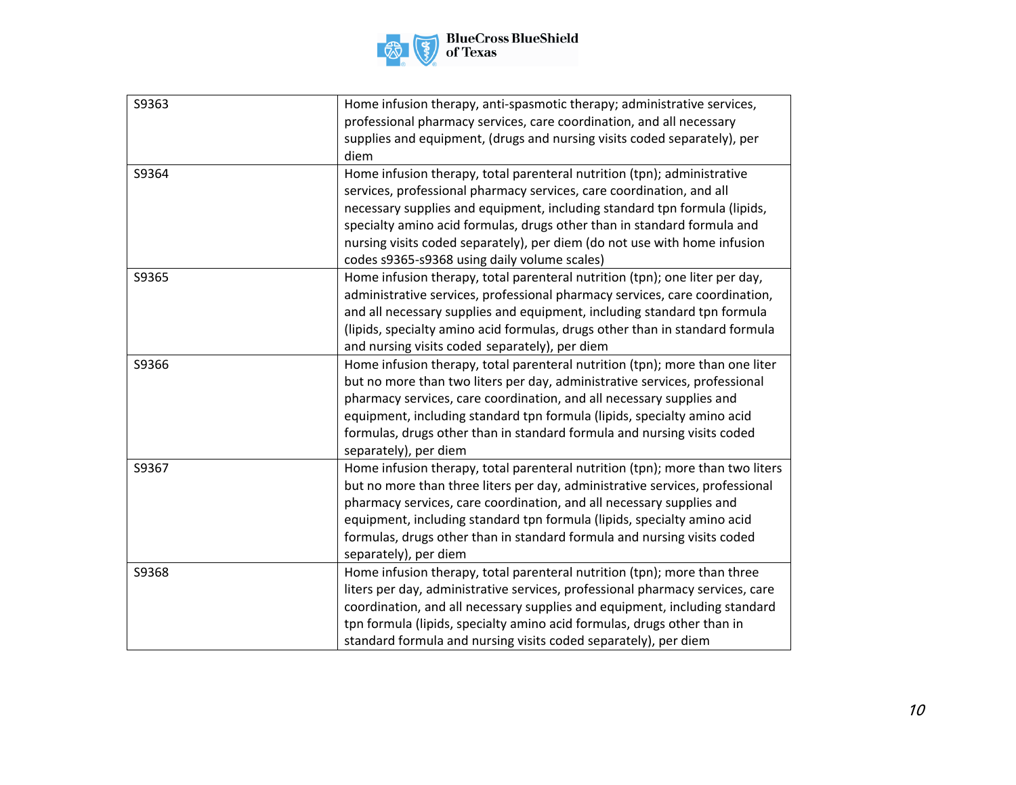

| S9363 | Home infusion therapy, anti-spasmotic therapy; administrative services,<br>professional pharmacy services, care coordination, and all necessary<br>supplies and equipment, (drugs and nursing visits coded separately), per<br>diem                                                                                                                                                                                                  |
|-------|--------------------------------------------------------------------------------------------------------------------------------------------------------------------------------------------------------------------------------------------------------------------------------------------------------------------------------------------------------------------------------------------------------------------------------------|
| S9364 | Home infusion therapy, total parenteral nutrition (tpn); administrative<br>services, professional pharmacy services, care coordination, and all<br>necessary supplies and equipment, including standard tpn formula (lipids,<br>specialty amino acid formulas, drugs other than in standard formula and<br>nursing visits coded separately), per diem (do not use with home infusion<br>codes s9365-s9368 using daily volume scales) |
| S9365 | Home infusion therapy, total parenteral nutrition (tpn); one liter per day,<br>administrative services, professional pharmacy services, care coordination,<br>and all necessary supplies and equipment, including standard tpn formula<br>(lipids, specialty amino acid formulas, drugs other than in standard formula<br>and nursing visits coded separately), per diem                                                             |
| S9366 | Home infusion therapy, total parenteral nutrition (tpn); more than one liter<br>but no more than two liters per day, administrative services, professional<br>pharmacy services, care coordination, and all necessary supplies and<br>equipment, including standard tpn formula (lipids, specialty amino acid<br>formulas, drugs other than in standard formula and nursing visits coded<br>separately), per diem                    |
| S9367 | Home infusion therapy, total parenteral nutrition (tpn); more than two liters<br>but no more than three liters per day, administrative services, professional<br>pharmacy services, care coordination, and all necessary supplies and<br>equipment, including standard tpn formula (lipids, specialty amino acid<br>formulas, drugs other than in standard formula and nursing visits coded<br>separately), per diem                 |
| S9368 | Home infusion therapy, total parenteral nutrition (tpn); more than three<br>liters per day, administrative services, professional pharmacy services, care<br>coordination, and all necessary supplies and equipment, including standard<br>tpn formula (lipids, specialty amino acid formulas, drugs other than in<br>standard formula and nursing visits coded separately), per diem                                                |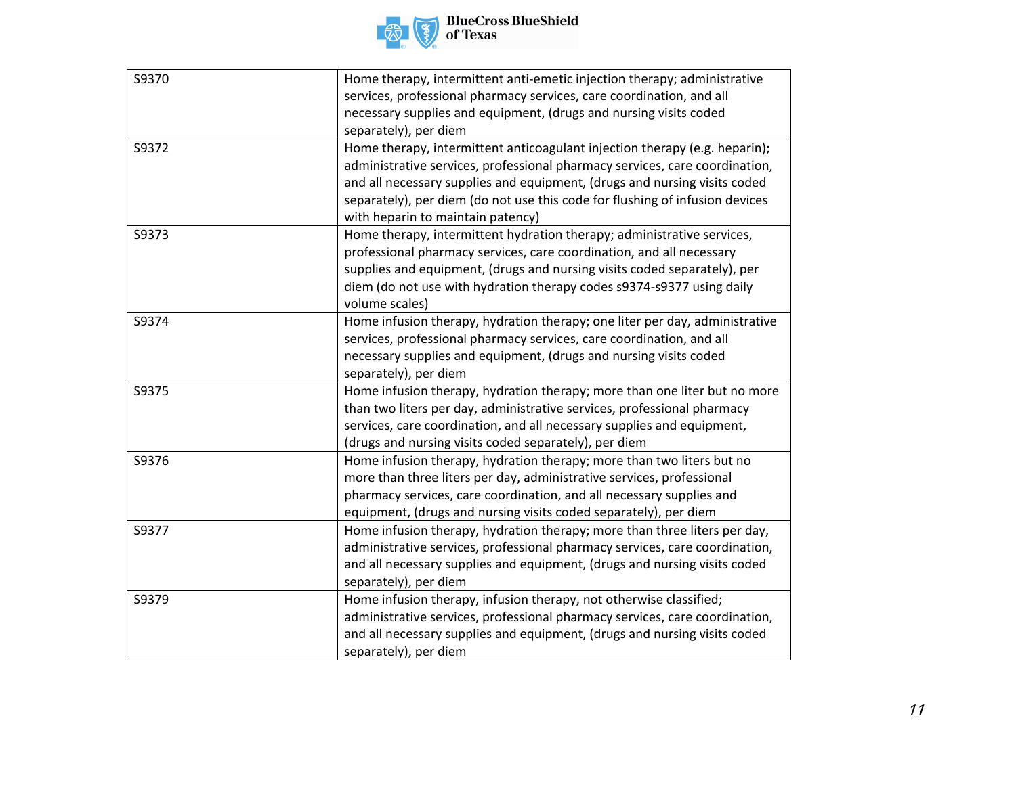

| S9370 | Home therapy, intermittent anti-emetic injection therapy; administrative     |
|-------|------------------------------------------------------------------------------|
|       | services, professional pharmacy services, care coordination, and all         |
|       | necessary supplies and equipment, (drugs and nursing visits coded            |
|       | separately), per diem                                                        |
| S9372 | Home therapy, intermittent anticoagulant injection therapy (e.g. heparin);   |
|       | administrative services, professional pharmacy services, care coordination,  |
|       | and all necessary supplies and equipment, (drugs and nursing visits coded    |
|       | separately), per diem (do not use this code for flushing of infusion devices |
|       | with heparin to maintain patency)                                            |
| S9373 | Home therapy, intermittent hydration therapy; administrative services,       |
|       | professional pharmacy services, care coordination, and all necessary         |
|       | supplies and equipment, (drugs and nursing visits coded separately), per     |
|       | diem (do not use with hydration therapy codes s9374-s9377 using daily        |
|       | volume scales)                                                               |
| S9374 | Home infusion therapy, hydration therapy; one liter per day, administrative  |
|       | services, professional pharmacy services, care coordination, and all         |
|       | necessary supplies and equipment, (drugs and nursing visits coded            |
|       | separately), per diem                                                        |
| S9375 | Home infusion therapy, hydration therapy; more than one liter but no more    |
|       | than two liters per day, administrative services, professional pharmacy      |
|       | services, care coordination, and all necessary supplies and equipment,       |
|       | (drugs and nursing visits coded separately), per diem                        |
| S9376 | Home infusion therapy, hydration therapy; more than two liters but no        |
|       | more than three liters per day, administrative services, professional        |
|       | pharmacy services, care coordination, and all necessary supplies and         |
|       | equipment, (drugs and nursing visits coded separately), per diem             |
| S9377 | Home infusion therapy, hydration therapy; more than three liters per day,    |
|       | administrative services, professional pharmacy services, care coordination,  |
|       | and all necessary supplies and equipment, (drugs and nursing visits coded    |
|       | separately), per diem                                                        |
| S9379 | Home infusion therapy, infusion therapy, not otherwise classified;           |
|       | administrative services, professional pharmacy services, care coordination,  |
|       | and all necessary supplies and equipment, (drugs and nursing visits coded    |
|       | separately), per diem                                                        |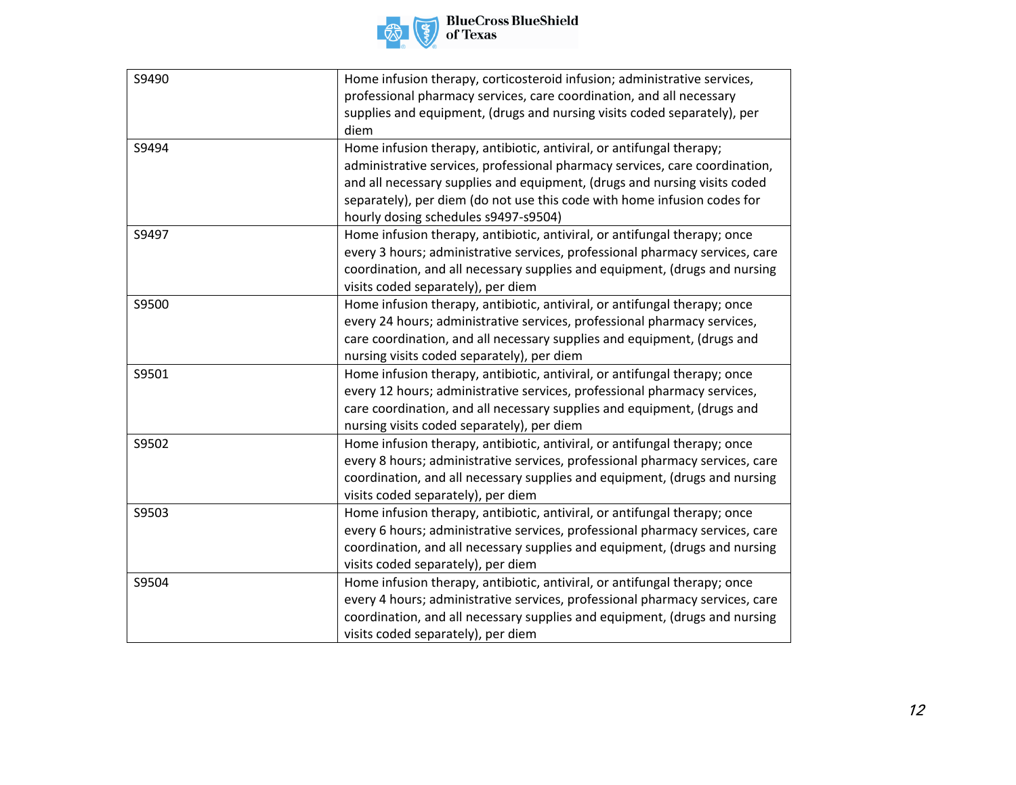

| S9490 | Home infusion therapy, corticosteroid infusion; administrative services,     |
|-------|------------------------------------------------------------------------------|
|       | professional pharmacy services, care coordination, and all necessary         |
|       | supplies and equipment, (drugs and nursing visits coded separately), per     |
|       | diem                                                                         |
| S9494 | Home infusion therapy, antibiotic, antiviral, or antifungal therapy;         |
|       | administrative services, professional pharmacy services, care coordination,  |
|       | and all necessary supplies and equipment, (drugs and nursing visits coded    |
|       | separately), per diem (do not use this code with home infusion codes for     |
|       | hourly dosing schedules s9497-s9504)                                         |
| S9497 | Home infusion therapy, antibiotic, antiviral, or antifungal therapy; once    |
|       | every 3 hours; administrative services, professional pharmacy services, care |
|       | coordination, and all necessary supplies and equipment, (drugs and nursing   |
|       | visits coded separately), per diem                                           |
| S9500 | Home infusion therapy, antibiotic, antiviral, or antifungal therapy; once    |
|       | every 24 hours; administrative services, professional pharmacy services,     |
|       | care coordination, and all necessary supplies and equipment, (drugs and      |
|       | nursing visits coded separately), per diem                                   |
| S9501 | Home infusion therapy, antibiotic, antiviral, or antifungal therapy; once    |
|       | every 12 hours; administrative services, professional pharmacy services,     |
|       | care coordination, and all necessary supplies and equipment, (drugs and      |
|       | nursing visits coded separately), per diem                                   |
| S9502 | Home infusion therapy, antibiotic, antiviral, or antifungal therapy; once    |
|       | every 8 hours; administrative services, professional pharmacy services, care |
|       | coordination, and all necessary supplies and equipment, (drugs and nursing   |
|       | visits coded separately), per diem                                           |
| S9503 | Home infusion therapy, antibiotic, antiviral, or antifungal therapy; once    |
|       | every 6 hours; administrative services, professional pharmacy services, care |
|       | coordination, and all necessary supplies and equipment, (drugs and nursing   |
|       | visits coded separately), per diem                                           |
| S9504 | Home infusion therapy, antibiotic, antiviral, or antifungal therapy; once    |
|       | every 4 hours; administrative services, professional pharmacy services, care |
|       | coordination, and all necessary supplies and equipment, (drugs and nursing   |
|       | visits coded separately), per diem                                           |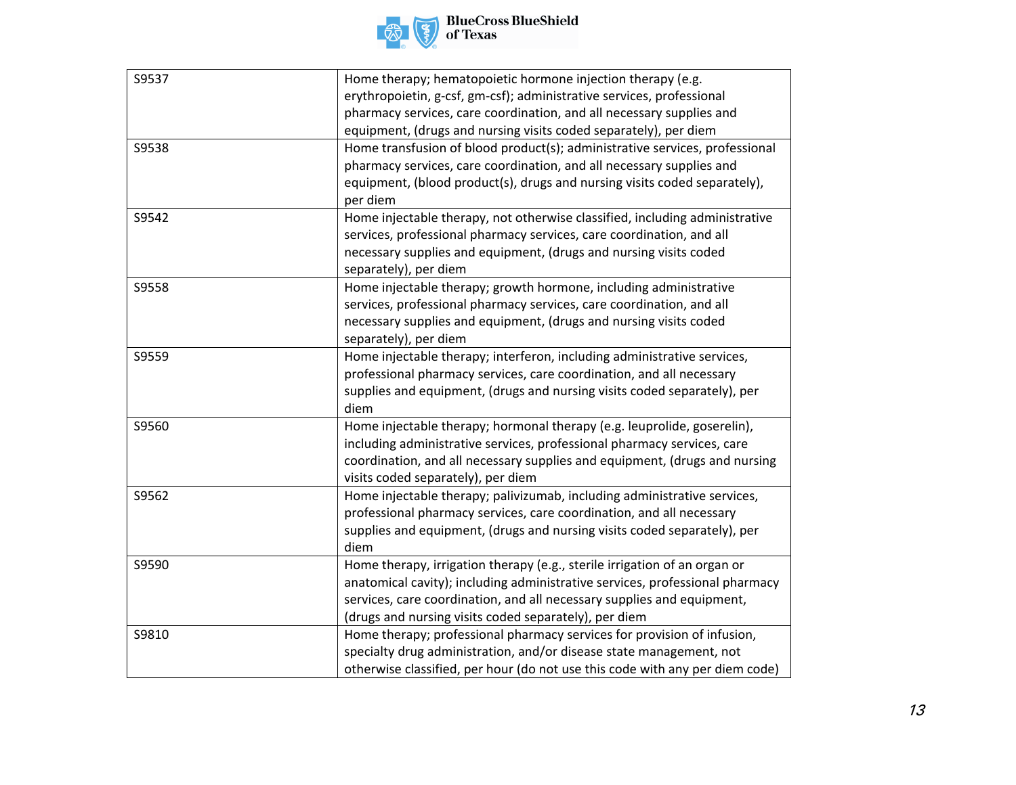

| S9537 | Home therapy; hematopoietic hormone injection therapy (e.g.                  |
|-------|------------------------------------------------------------------------------|
|       | erythropoietin, g-csf, gm-csf); administrative services, professional        |
|       | pharmacy services, care coordination, and all necessary supplies and         |
|       | equipment, (drugs and nursing visits coded separately), per diem             |
| S9538 | Home transfusion of blood product(s); administrative services, professional  |
|       | pharmacy services, care coordination, and all necessary supplies and         |
|       | equipment, (blood product(s), drugs and nursing visits coded separately),    |
|       | per diem                                                                     |
| S9542 | Home injectable therapy, not otherwise classified, including administrative  |
|       | services, professional pharmacy services, care coordination, and all         |
|       | necessary supplies and equipment, (drugs and nursing visits coded            |
|       | separately), per diem                                                        |
| S9558 | Home injectable therapy; growth hormone, including administrative            |
|       | services, professional pharmacy services, care coordination, and all         |
|       | necessary supplies and equipment, (drugs and nursing visits coded            |
|       | separately), per diem                                                        |
| S9559 | Home injectable therapy; interferon, including administrative services,      |
|       | professional pharmacy services, care coordination, and all necessary         |
|       | supplies and equipment, (drugs and nursing visits coded separately), per     |
|       | diem                                                                         |
| S9560 | Home injectable therapy; hormonal therapy (e.g. leuprolide, goserelin),      |
|       | including administrative services, professional pharmacy services, care      |
|       | coordination, and all necessary supplies and equipment, (drugs and nursing   |
|       | visits coded separately), per diem                                           |
| S9562 | Home injectable therapy; palivizumab, including administrative services,     |
|       | professional pharmacy services, care coordination, and all necessary         |
|       | supplies and equipment, (drugs and nursing visits coded separately), per     |
|       | diem                                                                         |
| S9590 | Home therapy, irrigation therapy (e.g., sterile irrigation of an organ or    |
|       | anatomical cavity); including administrative services, professional pharmacy |
|       | services, care coordination, and all necessary supplies and equipment,       |
|       | (drugs and nursing visits coded separately), per diem                        |
| S9810 | Home therapy; professional pharmacy services for provision of infusion,      |
|       | specialty drug administration, and/or disease state management, not          |
|       | otherwise classified, per hour (do not use this code with any per diem code) |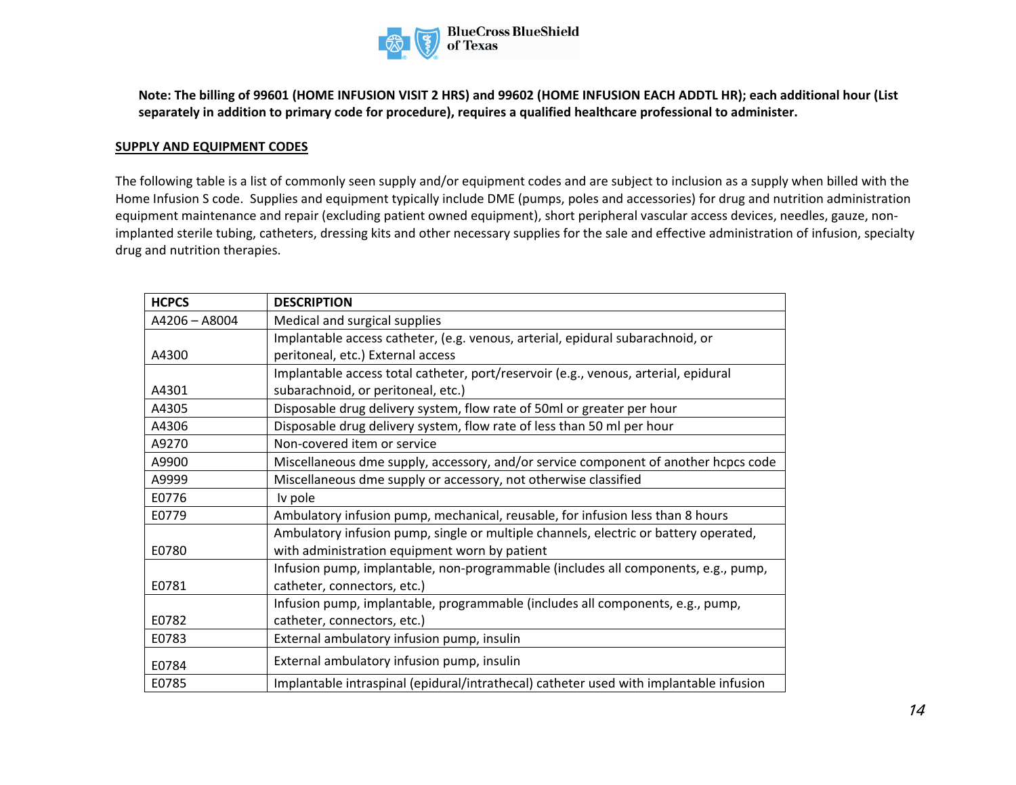

**Note: The billing of 99601 (HOME INFUSION VISIT 2 HRS) and 99602 (HOME INFUSION EACH ADDTL HR); each additional hour (List separately in addition to primary code for procedure), requires a qualified healthcare professional to administer.** 

#### **SUPPLY AND EQUIPMENT CODES**

The following table is a list of commonly seen supply and/or equipment codes and are subject to inclusion as a supply when billed with the Home Infusion S code. Supplies and equipment typically include DME (pumps, poles and accessories) for drug and nutrition administration equipment maintenance and repair (excluding patient owned equipment), short peripheral vascular access devices, needles, gauze, nonimplanted sterile tubing, catheters, dressing kits and other necessary supplies for the sale and effective administration of infusion, specialty drug and nutrition therapies.

| <b>HCPCS</b>  | <b>DESCRIPTION</b>                                                                     |
|---------------|----------------------------------------------------------------------------------------|
| A4206 - A8004 | Medical and surgical supplies                                                          |
|               | Implantable access catheter, (e.g. venous, arterial, epidural subarachnoid, or         |
| A4300         | peritoneal, etc.) External access                                                      |
|               | Implantable access total catheter, port/reservoir (e.g., venous, arterial, epidural    |
| A4301         | subarachnoid, or peritoneal, etc.)                                                     |
| A4305         | Disposable drug delivery system, flow rate of 50ml or greater per hour                 |
| A4306         | Disposable drug delivery system, flow rate of less than 50 ml per hour                 |
| A9270         | Non-covered item or service                                                            |
| A9900         | Miscellaneous dme supply, accessory, and/or service component of another hcpcs code    |
| A9999         | Miscellaneous dme supply or accessory, not otherwise classified                        |
| E0776         | Iv pole                                                                                |
| E0779         | Ambulatory infusion pump, mechanical, reusable, for infusion less than 8 hours         |
|               | Ambulatory infusion pump, single or multiple channels, electric or battery operated,   |
| E0780         | with administration equipment worn by patient                                          |
|               | Infusion pump, implantable, non-programmable (includes all components, e.g., pump,     |
| E0781         | catheter, connectors, etc.)                                                            |
|               | Infusion pump, implantable, programmable (includes all components, e.g., pump,         |
| E0782         | catheter, connectors, etc.)                                                            |
| E0783         | External ambulatory infusion pump, insulin                                             |
| E0784         | External ambulatory infusion pump, insulin                                             |
| E0785         | Implantable intraspinal (epidural/intrathecal) catheter used with implantable infusion |